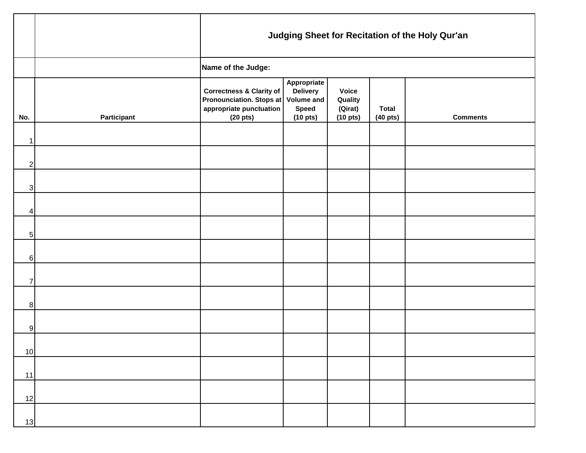|                           | Judging Sheet for Recitation of the Holy Qur'an |                                                                                                                               |                                                                        |                                                            |                                    |                 |  |  |  |  |  |
|---------------------------|-------------------------------------------------|-------------------------------------------------------------------------------------------------------------------------------|------------------------------------------------------------------------|------------------------------------------------------------|------------------------------------|-----------------|--|--|--|--|--|
|                           | Name of the Judge:                              |                                                                                                                               |                                                                        |                                                            |                                    |                 |  |  |  |  |  |
| No.                       | Participant                                     | <b>Correctness &amp; Clarity of</b><br>Pronounciation. Stops at Volume and<br>appropriate punctuation<br>(20 <sub>pts</sub> ) | Appropriate<br><b>Delivery</b><br><b>Speed</b><br>(10 <sub>pts</sub> ) | <b>Voice</b><br>Quality<br>(Qirat)<br>(10 <sub>pts</sub> ) | <b>Total</b><br>$(40 \text{ pts})$ | <b>Comments</b> |  |  |  |  |  |
| $\mathbf 1$               |                                                 |                                                                                                                               |                                                                        |                                                            |                                    |                 |  |  |  |  |  |
| $\overline{c}$            |                                                 |                                                                                                                               |                                                                        |                                                            |                                    |                 |  |  |  |  |  |
| $\ensuremath{\mathsf{3}}$ |                                                 |                                                                                                                               |                                                                        |                                                            |                                    |                 |  |  |  |  |  |
| 4                         |                                                 |                                                                                                                               |                                                                        |                                                            |                                    |                 |  |  |  |  |  |
| $\,$ 5 $\,$               |                                                 |                                                                                                                               |                                                                        |                                                            |                                    |                 |  |  |  |  |  |
| $\,6$                     |                                                 |                                                                                                                               |                                                                        |                                                            |                                    |                 |  |  |  |  |  |
| $\overline{7}$            |                                                 |                                                                                                                               |                                                                        |                                                            |                                    |                 |  |  |  |  |  |
| 8                         |                                                 |                                                                                                                               |                                                                        |                                                            |                                    |                 |  |  |  |  |  |
| 9                         |                                                 |                                                                                                                               |                                                                        |                                                            |                                    |                 |  |  |  |  |  |
| $10 \,$                   |                                                 |                                                                                                                               |                                                                        |                                                            |                                    |                 |  |  |  |  |  |
| 11                        |                                                 |                                                                                                                               |                                                                        |                                                            |                                    |                 |  |  |  |  |  |
| 12                        |                                                 |                                                                                                                               |                                                                        |                                                            |                                    |                 |  |  |  |  |  |
| 13                        |                                                 |                                                                                                                               |                                                                        |                                                            |                                    |                 |  |  |  |  |  |

┯

г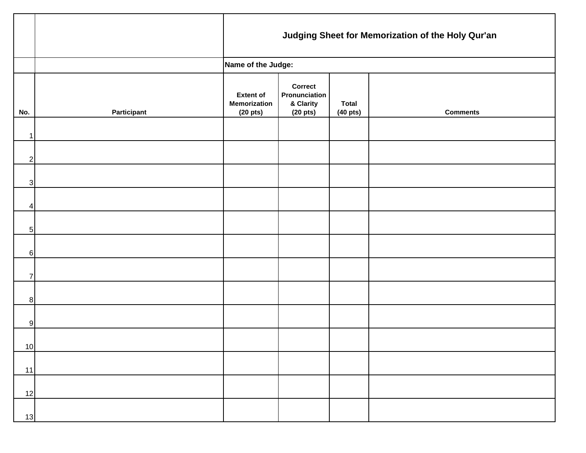|                |             | Judging Sheet for Memorization of the Holy Qur'an               |                                                               |                                    |                 |  |  |  |  |
|----------------|-------------|-----------------------------------------------------------------|---------------------------------------------------------------|------------------------------------|-----------------|--|--|--|--|
|                |             | Name of the Judge:                                              |                                                               |                                    |                 |  |  |  |  |
| No.            | Participant | <b>Extent of</b><br><b>Memorization</b><br>(20 <sub>pts</sub> ) | Correct<br>Pronunciation<br>& Clarity<br>(20 <sub>pts</sub> ) | <b>Total</b><br>$(40 \text{ pts})$ | <b>Comments</b> |  |  |  |  |
| 1              |             |                                                                 |                                                               |                                    |                 |  |  |  |  |
| $\overline{2}$ |             |                                                                 |                                                               |                                    |                 |  |  |  |  |
| $\mathbf{3}$   |             |                                                                 |                                                               |                                    |                 |  |  |  |  |
| 4              |             |                                                                 |                                                               |                                    |                 |  |  |  |  |
| 5 <sub>l</sub> |             |                                                                 |                                                               |                                    |                 |  |  |  |  |
| 6              |             |                                                                 |                                                               |                                    |                 |  |  |  |  |
| $\overline{7}$ |             |                                                                 |                                                               |                                    |                 |  |  |  |  |
| 8 <sup>1</sup> |             |                                                                 |                                                               |                                    |                 |  |  |  |  |
| 9              |             |                                                                 |                                                               |                                    |                 |  |  |  |  |
| 10             |             |                                                                 |                                                               |                                    |                 |  |  |  |  |
| 11             |             |                                                                 |                                                               |                                    |                 |  |  |  |  |
| 12             |             |                                                                 |                                                               |                                    |                 |  |  |  |  |
| 13             |             |                                                                 |                                                               |                                    |                 |  |  |  |  |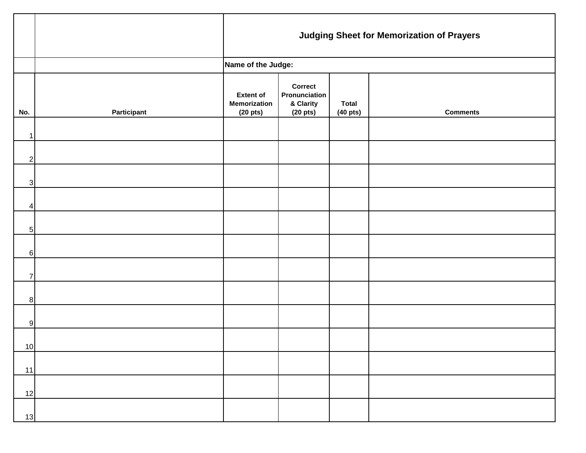|                 |                    | <b>Judging Sheet for Memorization of Prayers</b>                |                                                               |                                    |                 |  |  |  |  |
|-----------------|--------------------|-----------------------------------------------------------------|---------------------------------------------------------------|------------------------------------|-----------------|--|--|--|--|
|                 |                    | Name of the Judge:                                              |                                                               |                                    |                 |  |  |  |  |
| No.             | <b>Participant</b> | <b>Extent of</b><br><b>Memorization</b><br>(20 <sub>pts</sub> ) | Correct<br>Pronunciation<br>& Clarity<br>(20 <sub>pts</sub> ) | <b>Total</b><br>$(40 \text{ pts})$ | <b>Comments</b> |  |  |  |  |
| $\mathbf 1$     |                    |                                                                 |                                                               |                                    |                 |  |  |  |  |
| $\mathbf{2}$    |                    |                                                                 |                                                               |                                    |                 |  |  |  |  |
| $\mathbf{3}$    |                    |                                                                 |                                                               |                                    |                 |  |  |  |  |
| 4               |                    |                                                                 |                                                               |                                    |                 |  |  |  |  |
| $5\overline{)}$ |                    |                                                                 |                                                               |                                    |                 |  |  |  |  |
| $6 \mid$        |                    |                                                                 |                                                               |                                    |                 |  |  |  |  |
| $\overline{7}$  |                    |                                                                 |                                                               |                                    |                 |  |  |  |  |
| 8 <sup>8</sup>  |                    |                                                                 |                                                               |                                    |                 |  |  |  |  |
| 9               |                    |                                                                 |                                                               |                                    |                 |  |  |  |  |
| 10 <sup>1</sup> |                    |                                                                 |                                                               |                                    |                 |  |  |  |  |
| 11              |                    |                                                                 |                                                               |                                    |                 |  |  |  |  |
| 12              |                    |                                                                 |                                                               |                                    |                 |  |  |  |  |
| 13              |                    |                                                                 |                                                               |                                    |                 |  |  |  |  |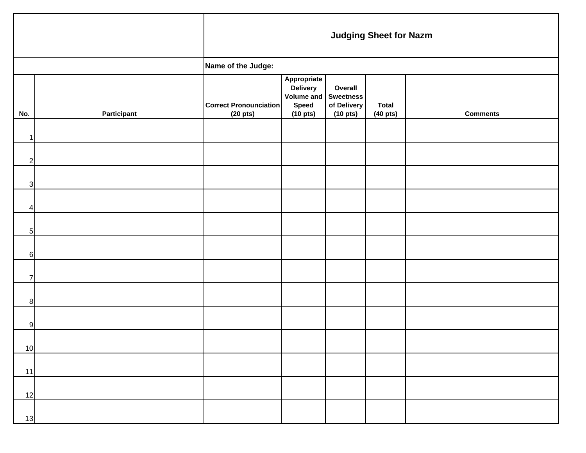|                         |             | <b>Judging Sheet for Nazm</b>                         |                                                                                         |                                              |                                    |                 |  |  |  |
|-------------------------|-------------|-------------------------------------------------------|-----------------------------------------------------------------------------------------|----------------------------------------------|------------------------------------|-----------------|--|--|--|
|                         |             | Name of the Judge:                                    |                                                                                         |                                              |                                    |                 |  |  |  |
| No.                     | Participant | <b>Correct Pronounciation</b><br>(20 <sub>pts</sub> ) | Appropriate<br>Delivery<br>Volume and Sweetness<br><b>Speed</b><br>(10 <sub>pts</sub> ) | Overall<br>of Delivery<br>$(10 \text{ pts})$ | <b>Total</b><br>$(40 \text{ pts})$ | <b>Comments</b> |  |  |  |
| $\mathbf{1}$            |             |                                                       |                                                                                         |                                              |                                    |                 |  |  |  |
| $\mathbf{2}$            |             |                                                       |                                                                                         |                                              |                                    |                 |  |  |  |
| 3                       |             |                                                       |                                                                                         |                                              |                                    |                 |  |  |  |
| $\overline{\mathbf{4}}$ |             |                                                       |                                                                                         |                                              |                                    |                 |  |  |  |
| $5\overline{)}$         |             |                                                       |                                                                                         |                                              |                                    |                 |  |  |  |
| $6 \mid$                |             |                                                       |                                                                                         |                                              |                                    |                 |  |  |  |
| $\overline{7}$          |             |                                                       |                                                                                         |                                              |                                    |                 |  |  |  |
| 8 <sup>1</sup>          |             |                                                       |                                                                                         |                                              |                                    |                 |  |  |  |
| 9                       |             |                                                       |                                                                                         |                                              |                                    |                 |  |  |  |
| 10                      |             |                                                       |                                                                                         |                                              |                                    |                 |  |  |  |
| 11                      |             |                                                       |                                                                                         |                                              |                                    |                 |  |  |  |
| 12                      |             |                                                       |                                                                                         |                                              |                                    |                 |  |  |  |
| 13                      |             |                                                       |                                                                                         |                                              |                                    |                 |  |  |  |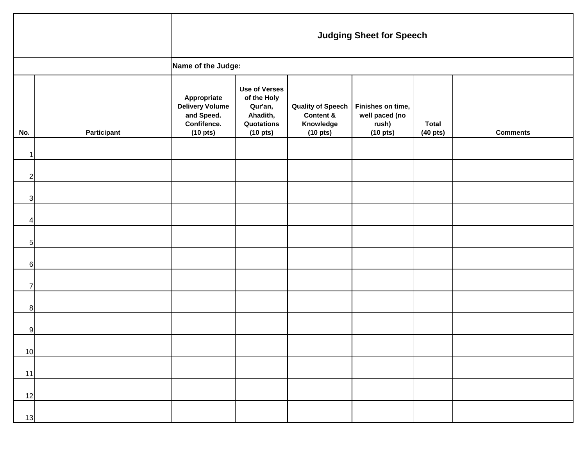|                 |             | <b>Judging Sheet for Speech</b>                                                            |                                                                                                  |                                                                                     |                                                                      |                                    |                 |  |  |  |
|-----------------|-------------|--------------------------------------------------------------------------------------------|--------------------------------------------------------------------------------------------------|-------------------------------------------------------------------------------------|----------------------------------------------------------------------|------------------------------------|-----------------|--|--|--|
|                 |             | Name of the Judge:                                                                         |                                                                                                  |                                                                                     |                                                                      |                                    |                 |  |  |  |
| No.             | Participant | Appropriate<br><b>Delivery Volume</b><br>and Speed.<br>Confifence.<br>(10 <sub>pts</sub> ) | <b>Use of Verses</b><br>of the Holy<br>Qur'an,<br>Ahadith,<br>Quotations<br>(10 <sub>pts</sub> ) | <b>Quality of Speech</b><br><b>Content &amp;</b><br>Knowledge<br>$(10 \text{ pts})$ | Finishes on time,<br>well paced (no<br>rush)<br>(10 <sub>pts</sub> ) | <b>Total</b><br>$(40 \text{ pts})$ | <b>Comments</b> |  |  |  |
| 1               |             |                                                                                            |                                                                                                  |                                                                                     |                                                                      |                                    |                 |  |  |  |
| $2\vert$        |             |                                                                                            |                                                                                                  |                                                                                     |                                                                      |                                    |                 |  |  |  |
| 3               |             |                                                                                            |                                                                                                  |                                                                                     |                                                                      |                                    |                 |  |  |  |
| 4               |             |                                                                                            |                                                                                                  |                                                                                     |                                                                      |                                    |                 |  |  |  |
| $5\vert$        |             |                                                                                            |                                                                                                  |                                                                                     |                                                                      |                                    |                 |  |  |  |
| 6               |             |                                                                                            |                                                                                                  |                                                                                     |                                                                      |                                    |                 |  |  |  |
| $\overline{7}$  |             |                                                                                            |                                                                                                  |                                                                                     |                                                                      |                                    |                 |  |  |  |
| 8               |             |                                                                                            |                                                                                                  |                                                                                     |                                                                      |                                    |                 |  |  |  |
| 9               |             |                                                                                            |                                                                                                  |                                                                                     |                                                                      |                                    |                 |  |  |  |
| 10 <sub>l</sub> |             |                                                                                            |                                                                                                  |                                                                                     |                                                                      |                                    |                 |  |  |  |
| 11              |             |                                                                                            |                                                                                                  |                                                                                     |                                                                      |                                    |                 |  |  |  |
| 12              |             |                                                                                            |                                                                                                  |                                                                                     |                                                                      |                                    |                 |  |  |  |
| 13              |             |                                                                                            |                                                                                                  |                                                                                     |                                                                      |                                    |                 |  |  |  |

 $\overline{\mathbf{r}}$ 

 $\mathsf{r}$